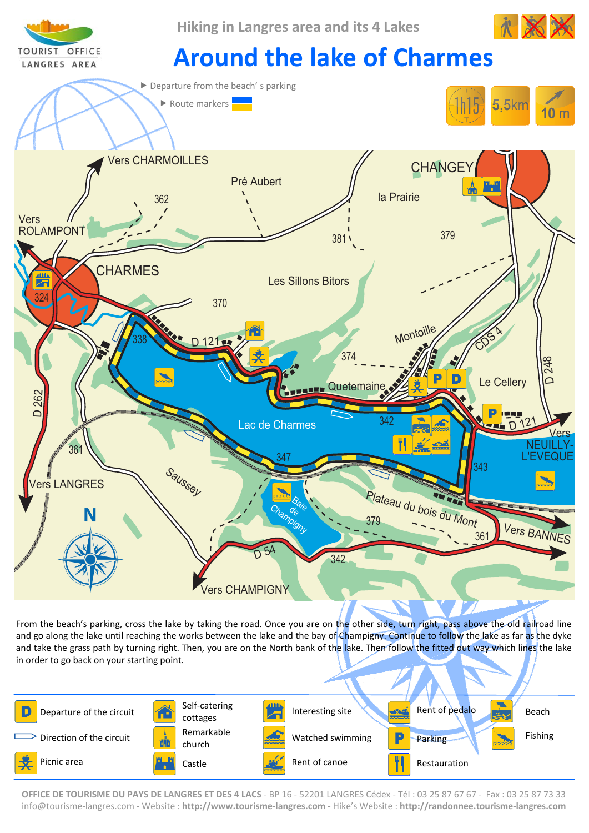

From the beach's parking, cross the lake by taking the road. Once you are on the other side, turn right, pass above the old railroad line and go along the lake until reaching the works between the lake and the bay of Champigny. Continue to follow the lake as far as the dyke and take the grass path by turning right. Then, you are on the North bank of the lake. Then follow the fitted out way which lines the lake in order to go back on your starting point.



**OFFICE DE TOURISME DU PAYS DE LANGRES ET DES 4 LACS** ‐ BP 16 ‐ 52201 LANGRES Cédex ‐ Tél : 03 25 87 67 67 ‐ Fax : 03 25 87 73 33 info@tourisme‐langres.com ‐ Website : **http://www.tourisme‐langres.com** ‐ Hike's Website : **http://randonnee.tourisme‐langres.com**